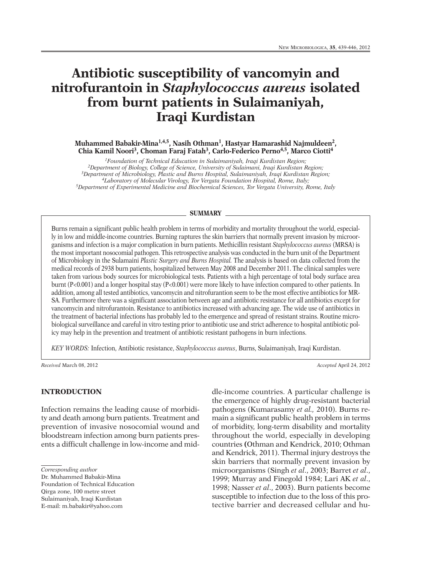# **Antibiotic susceptibility of vancomyin and nitrofurantoin in** *Staphylococcus aureus* **isolated from burnt patients in Sulaimaniyah, Iraqi Kurdistan**

**Muhammed Babakir-Mina1,4,5, Nasih Othman1, Hastyar Hamarashid Najmuldeen2, Chia Kamil Noori 3, Choman Faraj Fatah3, Carlo-Federico Perno4,5, Marco Ciotti 4**

*1Foundation of Technical Education in Sulaimaniyah, Iraqi Kurdistan Region; 2Department of Biology, College of Science, University of Sulaimani, Iraqi Kurdistan Region; 3Department of Microbiology, Plastic and Burns Hospital, Sulaimaniyah, Iraqi Kurdistan Region; 4Laboratory of Molecular Virology, Tor Vergata Foundation Hospital, Rome, Italy; 5Department of Experimental Medicine and Biochemical Sciences, Tor Vergata University, Rome, Italy*

#### **SUMMARY**

Burns remain a significant public health problem in terms of morbidity and mortality throughout the world, especially in low and middle-income countries. Burning raptures the skin barriers that normally prevent invasion by microorganisms and infection is a major complication in burn patients. Methicillin resistant *Staphylococcus aureus* (MRSA) is the most important nosocomial pathogen. This retrospective analysis was conducted in the burn unit of the Department of Microbiology in the Sulamaini *Plastic Surgery and Burns Hospital.* The analysis is based on data collected from the medical records of 2938 burn patients, hospitalized between May 2008 and December 2011. The clinical samples were taken from various body sources for microbiological tests. Patients with a high percentage of total body surface area burnt (P<0.001) and a longer hospital stay (P<0.001) were more likely to have infection compared to other patients. In addition, among all tested antibiotics, vancomycin and nitrofurantion seem to be the most effective antibiotics for MR-SA. Furthermore there was a significant association between age and antibiotic resistance for all antibiotics except for vancomycin and nitrofurantoin. Resistance to antibiotics increased with advancing age. The wide use of antibiotics in the treatment of bacterial infections has probably led to the emergence and spread of resistant strains. Routine microbiological surveillance and careful in vitro testing prior to antibiotic use and strict adherence to hospital antibiotic policy may help in the prevention and treatment of antibiotic resistant pathogens in burn infections.

*KEY WORDS:* Infection, Antibiotic resistance, *Staphylococcus aureus*, Burns, Sulaimaniyah, Iraqi Kurdistan.

*Received* March 08, 2012 *Accepted* April 24, 2012

## **INTRODUCTION**

Infection remains the leading cause of morbidity and death among burn patients. Treatment and prevention of invasive nosocomial wound and bloodstream infection among burn patients presents a difficult challenge in low-income and mid-

Foundation of Technical Education Qirga zone, 100 metre street Sulaimaniyah, Iraqi Kurdistan E-mail: m.babakir@yahoo.com

dle-income countries. A particular challenge is the emergence of highly drug-resistant bacterial pathogens (Kumarasamy *et al.,* 2010). Burns remain a significant public health problem in terms of morbidity, long-term disability and mortality throughout the world, especially in developing countries **(**Othman and Kendrick, 2010; Othman and Kendrick, 2011). Thermal injury destroys the skin barriers that normally prevent invasion by microorganisms (Singh *et al*., 2003; Barret *et al*., 1999; Murray and Finegold 1984; Lari AK *et al*., 1998; Nasser *et al*., 2003). Burn patients become susceptible to infection due to the loss of this protective barrier and decreased cellular and hu-

*Corresponding author*

Dr. Muhammed Babakir-Mina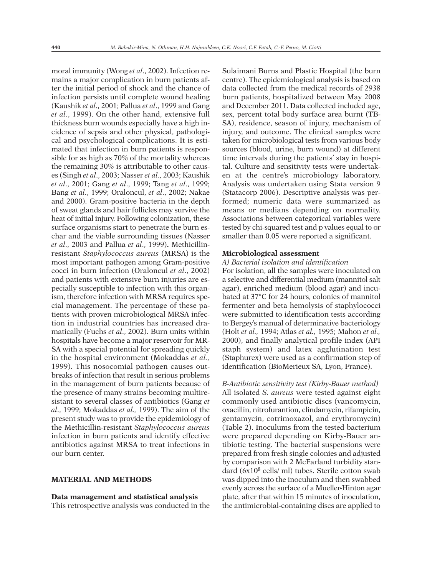moral immunity (Wong *et al*., 2002). Infection remains a major complication in burn patients after the initial period of shock and the chance of infection persists until complete wound healing (Kaushik *et al*., 2001; Pallua *et al*., 1999 and Gang *et al*., 1999). On the other hand, extensive full thickness burn wounds especially have a high incidence of sepsis and other physical, pathological and psychological complications. It is estimated that infection in burn patients is responsible for as high as 70% of the mortality whereas the remaining 30% is attributable to other causes (Singh *et al*., 2003; Nasser *et al*., 2003; Kaushik *et al*., 2001; Gang *et al*., 1999; Tang *et al*., 1999; Bang *et al*., 1999; Oraloncul, *et al*., 2002; Nakae and 2000). Gram-positive bacteria in the depth of sweat glands and hair follicles may survive the heat of initial injury. Following colonization, these surface organisms start to penetrate the burn eschar and the viable surrounding tissues (Nasser *et al*., 2003 and Pallua *et al*., 1999)**.** Methicillinresistant *Staphylococcus aureus* (MRSA) is the most important pathogen among Gram-positive cocci in burn infection (Oraloncul *et al*., 2002) and patients with extensive burn injuries are especially susceptible to infection with this organism, therefore infection with MRSA requires special management. The percentage of these patients with proven microbiological MRSA infection in industrial countries has increased dramatically (Fuchs *et al*., 2002). Burn units within hospitals have become a major reservoir for MR-SA with a special potential for spreading quickly in the hospital environment (Mokaddas *et al.,* 1999). This nosocomial pathogen causes outbreaks of infection that result in serious problems in the management of burn patients because of the presence of many strains becoming multiresistant to several classes of antibiotics (Gang *et al*., 1999; Mokaddas *et al.,* 1999). The aim of the present study was to provide the epidemiology of the Methicillin-resistant *Staphylococcus aureus* infection in burn patients and identify effective antibiotics against MRSA to treat infections in our burn center.

## **MATERIAL AND METHODS**

## **Data management and statistical analysis**

This retrospective analysis was conducted in the

Sulaimani Burns and Plastic Hospital (the burn centre). The epidemiological analysis is based on data collected from the medical records of 2938 burn patients, hospitalized between May 2008 and December 2011. Data collected included age, sex, percent total body surface area burnt (TB-SA), residence, season of injury, mechanism of injury, and outcome. The clinical samples were taken for microbiological tests from various body sources (blood, urine, burn wound) at different time intervals during the patients' stay in hospital. Culture and sensitivity tests were undertaken at the centre's microbiology laboratory. Analysis was undertaken using Stata version 9 (Statacorp 2006). Descriptive analysis was performed; numeric data were summarized as means or medians depending on normality. Associations between categorical variables were tested by chi-squared test and p values equal to or smaller than 0.05 were reported a significant.

### **Microbiological assessment**

#### *A) Bacterial isolation and identification*

For isolation, all the samples were inoculated on a selective and differential medium (mannitol salt agar), enriched medium (blood agar) and incubated at 37°C for 24 hours, colonies of mannitol fermenter and beta hemolysis of staphylococci were submitted to identification tests according to Bergey's manual of determinative bacteriology (Holt *et al.,* 1994; Atlas *et al.,* 1995; Mahon *et al.,* 2000), and finally analytical profile index (API staph system) and latex agglutination test (Staphurex) were used as a confirmation step of identification (BioMerieux SA, Lyon, France).

*B-Antibiotic sensitivity test (Kirby-Bauer method)* All isolated *S. aureus* were tested against eight commonly used antibiotic discs (vancomycin, oxacillin, nitrofurantion, clindamycin, rifampicin, gentamycin, cotrimoxazol, and erythromycin) (Table 2). Inoculums from the tested bacterium were prepared depending on Kirby-Bauer antibiotic testing. The bacterial suspensions were prepared from fresh single colonies and adjusted by comparison with 2 McFarland turbidity standard (6x108 cells/ ml) tubes. Sterile cotton swab was dipped into the inoculum and then swabbed evenly across the surface of a Mueller-Hinton agar plate, after that within 15 minutes of inoculation, the antimicrobial-containing discs are applied to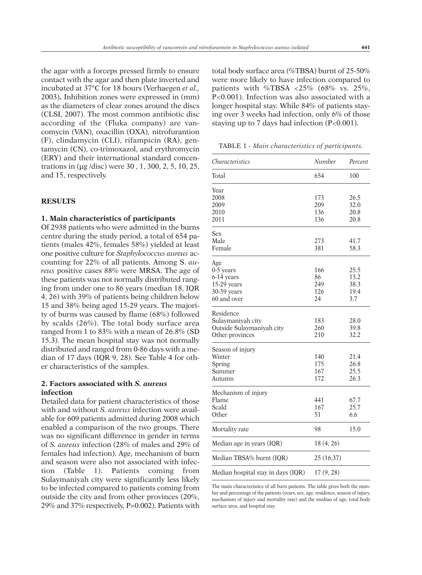the agar with a forceps pressed firmly to ensure contact with the agar and then plate inverted and incubated at 37°C for 18 hours (Verhaegen *et al.,* 2003)**.** Inhibition zones were expressed in (mm) as the diameters of clear zones around the discs (CLSI, 2007). The most common antibiotic disc according of the (Fluka company) are vancomycin (VAN), oxacillin (OXA), nitrofurantion (F), clindamycin (CLI), rifampicin (RA), gentamycin (CN), co-trimoxazol, and erythromycin (ERY) and their international standard concentrations in (µg /disc) were 30 , 1, 300, 2, 5, 10, 25, and 15, respectively.

## **RESULTS**

## **1. Main characteristics of participants**

Of 2938 patients who were admitted in the burns centre during the study period, a total of 654 patients (males 42%, females 58%) yielded at least one positive culture for *Staphylococcus aureus* accounting for 22% of all patients. Among S. *aureus* positive cases 88% were MRSA. The age of these patients was not normally distributed ranging from under one to 86 years (median 18, IQR 4, 26) with 39% of patients being children below 15 and 38% being aged 15-29 years. The majority of burns was caused by flame (68%) followed by scalds (26%). The total body surface area ranged from 1 to 83% with a mean of 26.8% (SD 15.3). The mean hospital stay was not normally distributed and ranged from 0-86 days with a median of 17 days (IQR 9, 28). See Table 4 for other characteristics of the samples.

# **2. Factors associated with** *S. aureus* **infection**

Detailed data for patient characteristics of those with and without *S. aureus* infection were available for 609 patients admitted during 2008 which enabled a comparison of the two groups. There was no significant difference in gender in terms of *S. aureus* infection (28% of males and 29% of females had infection). Age, mechanism of burn and season were also not associated with infection (Table 1). Patients coming from Sulaymaniyah city were significantly less likely to be infected compared to patients coming from outside the city and from other provinces (20%, 29% and 37% respectively, P=0.002). Patients with

total body surface area (%TBSA) burnt of 25-50% were more likely to have infection compared to patients with %TBSA  $\langle 25\% \rangle$  (68% vs. 25%, P<0.001). Infection was also associated with a longer hospital stay. While 84% of patients staying over 3 weeks had infection, only 6% of those staying up to 7 days had infection (P<0.001).

TABLE 1 - *Main characteristics of participants.*

| <i>Characteristics</i>             | Number     | Percent |
|------------------------------------|------------|---------|
| Total                              | 654        | 100     |
| Year                               |            |         |
| 2008                               | 173        | 26.5    |
| 2009                               | 209        | 32.0    |
| 2010                               | 136        | 20.8    |
| 2011                               | 136        | 20.8    |
| Sex                                |            |         |
| Male                               | 273        | 41.7    |
| Female                             | 381        | 58.3    |
| Age                                |            |         |
| $0-5$ years                        | 166        | 25.5    |
| 6-14 years                         | 86         | 13.2    |
| 15-29 years                        | 249        | 38.3    |
| 30-59 years                        | 126        | 19.4    |
| 60 and over                        | 24         | 3.7     |
| Residence                          |            |         |
| Sulaymaniyah city                  | 183        | 28.0    |
| Outside Sulaymaniyah city          | 260        | 39.8    |
| Other provinces                    | 210        | 32.2    |
| Season of injury                   |            |         |
| Winter                             | 140        | 21.4    |
| Spring                             | 175        | 26.8    |
| Summer                             | 167        | 25.5    |
| Autumn                             | 172        | 26.3    |
| Mechanism of injury                |            |         |
| Flame                              | 441        | 67.7    |
| Scald                              | 167        | 25.7    |
| Other                              | 51         | 6.6     |
| Mortality rate                     | 98         | 15.0    |
| Median age in years (IQR)          | 18 (4, 26) |         |
| Median TBSA% burnt (IQR)           | 25 (16,37) |         |
| Median hospital stay in days (IQR) | 17(9, 28)  |         |

The main characteristics of all burn patients. The table gives both the number and percentage of the patients (years, sex, age, residence, season of injury, mechanism of injury and mortality rate) and the median of age, total body surface area, and hospital stay.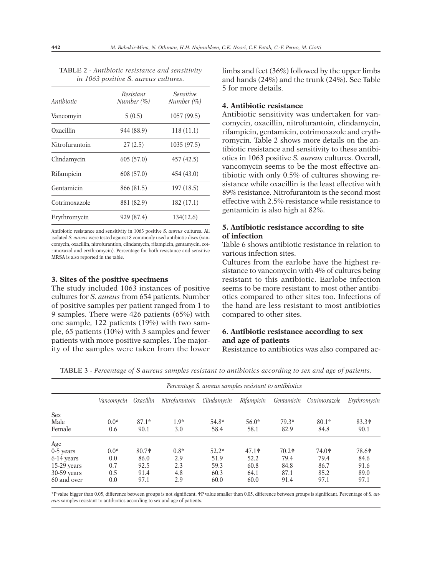| Antibiotic     | Resistant<br>Number $(\% )$ | <i>Sensitive</i><br>Number $(\% )$ |  |  |
|----------------|-----------------------------|------------------------------------|--|--|
| Vancomyin      | 5(0.5)                      | 1057 (99.5)                        |  |  |
| Oxacillin      | 944 (88.9)                  | 118(11.1)                          |  |  |
| Nitrofurantoin | 27(2.5)                     | 1035 (97.5)                        |  |  |
| Clindamycin    | 605(57.0)                   | 457 (42.5)                         |  |  |
| Rifampicin     | 608 (57.0)                  | 454 (43.0)                         |  |  |
| Gentamicin     | 866 (81.5)                  | 197 (18.5)                         |  |  |
| Cotrimoxazole  | 881 (82.9)                  | 182(17.1)                          |  |  |
| Erythromycin   | 929 (87.4)                  | 134(12.6)                          |  |  |

TABLE 2 - *Antibiotic resistance and sensitivity in 1063 positive S. aureus cultures.*

Antibiotic resistance and sensitivity in 1063 positive *S. aureus* cultures**.** All isolated *S. aureus* were tested against 8 commonly used antibiotic discs (vancomycin, oxacillin, nitrofurantion, clindamycin, rifampicin, gentamycin, cotrimoxazol and erythromycin). Percentage for both resistance and sensitive MRSA is also reported in the table.

### **3. Sites of the positive specimens**

The study included 1063 instances of positive cultures for *S. aureus* from 654 patients. Number of positive samples per patient ranged from 1 to 9 samples. There were 426 patients (65%) with one sample, 122 patients (19%) with two sample, 65 patients (10%) with 3 samples and fewer patients with more positive samples. The majority of the samples were taken from the lower limbs and feet (36%) followed by the upper limbs and hands (24%) and the trunk (24%). See Table 5 for more details.

## **4. Antibiotic resistance**

Antibiotic sensitivity was undertaken for vancomycin, oxacillin, nitrofurantoin, clindamycin, rifampicin, gentamicin, cotrimoxazole and erythromycin. Table 2 shows more details on the antibiotic resistance and sensitivity to these antibiotics in 1063 positive *S. aureus* cultures. Overall, vancomycin seems to be the most effective antibiotic with only 0.5% of cultures showing resistance while oxacillin is the least effective with 89% resistance. Nitrofurantoin is the second most effective with 2.5% resistance while resistance to gentamicin is also high at 82%.

## **5. Antibiotic resistance according to site of infection**

Table 6 shows antibiotic resistance in relation to various infection sites.

Cultures from the earlobe have the highest resistance to vancomycin with 4% of cultures being resistant to this antibiotic. Earlobe infection seems to be more resistant to most other antibiotics compared to other sites too. Infections of the hand are less resistant to most antibiotics compared to other sites.

# **6. Antibiotic resistance according to sex and age of patients**

Resistance to antibiotics was also compared ac-

TABLE 3 - *Percentage of S aureus samples resistant to antibiotics according to sex and age of patients.*

|               | Percentage S. aureus samples resistant to antibiotics |           |                |             |            |            |               |                                         |  |
|---------------|-------------------------------------------------------|-----------|----------------|-------------|------------|------------|---------------|-----------------------------------------|--|
|               | Vancomycin                                            | Oxacillin | Nitrofurantoin | Clindamycin | Rifampicin | Gentamicin | Cotrimoxazole | Erythromycin                            |  |
| <b>Sex</b>    |                                                       |           |                |             |            |            |               |                                         |  |
| Male          | $0.0*$                                                | $87.1*$   | $1.9*$         | $54.8*$     | $56.0*$    | $79.3*$    | $80.1*$       | $83.3*$                                 |  |
| Female        | 0.6                                                   | 90.1      | 3.0            | 58.4        | 58.1       | 82.9       | 84.8          | 90.1                                    |  |
| Age           |                                                       |           |                |             |            |            |               |                                         |  |
| $0-5$ years   | $0.0*$                                                | $80.7*$   | $0.8*$         | $52.2*$     | $47.1*$    | $70.2*$    | $74.0*$       | 78.6 <sup><math>\text{\AA}</math></sup> |  |
| 6-14 years    | 0.0                                                   | 86.0      | 2.9            | 51.9        | 52.2       | 79.4       | 79.4          | 84.6                                    |  |
| $15-29$ years | 0.7                                                   | 92.5      | 2.3            | 59.3        | 60.8       | 84.8       | 86.7          | 91.6                                    |  |
| $30-59$ years | 0.5                                                   | 91.4      | 4.8            | 60.3        | 64.1       | 87.1       | 85.2          | 89.0                                    |  |
| 60 and over   | 0.0                                                   | 97.1      | 2.9            | 60.0        | 60.0       | 91.4       | 97.1          | 97.1                                    |  |

\*P value bigger than 0.05, difference between groups is not significant. WP value smaller than 0.05, difference between groups is significant. Percentage of *S. aureus* samples resistant to antibiotics according to sex and age of patients.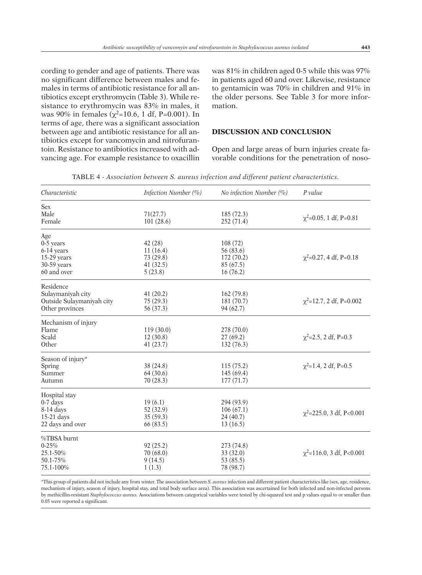cording to gender and age of patients. There was no significant difference between males and females in terms of antibiotic resistance for all antibiotics except erythromycin (Table 3). While resistance to erythromycin was 83% in males, it was 90% in females ( $\chi^2$ =10.6, 1 df, P=0.001). In terms of age, there was a significant association between age and antibiotic resistance for all antibiotics except for vancomycin and nitrofurantoin. Resistance to antibiotics increased with advancing age. For example resistance to oxacillin was 81% in children aged 0-5 while this was 97% in patients aged 60 and over. Likewise, resistance to gentamicin was 70% in children and 91% in the older persons. See Table 3 for more information.

## **DISCUSSION AND CONCLUSION**

Open and large areas of burn injuries create favorable conditions for the penetration of noso-

| Characteristic            | Infection Number (%) | No infection Number (%) | $P$ value                      |
|---------------------------|----------------------|-------------------------|--------------------------------|
| <b>Sex</b>                |                      |                         |                                |
| Male                      | 71(27.7)             | 185 (72.3)              | $\chi^2$ =0.05, 1 df, P=0.81   |
| Female                    | 101(28.6)            | 252 (71.4)              |                                |
| Age                       |                      |                         |                                |
| $0-5$ years               | 42(28)               | 108(72)                 |                                |
| 6-14 years                | 11(16.4)             | 56 (83.6)               |                                |
| 15-29 years               | 73 (29.8)            | 172 (70.2)              | $\chi^2$ =0.27, 4 df, P=0.18   |
| 30-59 years               | 41(32.5)             | 85 (67.5)               |                                |
| 60 and over               | 5(23.8)              | 16(76.2)                |                                |
| Residence                 |                      |                         |                                |
| Sulaymaniyah city         | 41(20.2)             | 162 (79.8)              |                                |
| Outside Sulaymaniyah city | 75(29.3)             | 181 (70.7)              | $\chi^2$ =12.7, 2 df, P=0.002  |
| Other provinces           | 56 (37.3)            | 94 (62.7)               |                                |
| Mechanism of injury       |                      |                         |                                |
| Flame                     | 119(30.0)            | 278 (70.0)              |                                |
| Scald                     | 12(30.8)             | 27(69.2)                | $\chi^2$ =2.5, 2 df, P=0.3     |
| Other                     | 41(23.7)             | 132 (76.3)              |                                |
| Season of injury*         |                      |                         |                                |
| Spring                    | 38 (24.8)            | 115(75.2)               | $\chi^2$ =1.4, 2 df, P=0.5     |
| Summer                    | 64(30.6)             | 145 (69.4)              |                                |
| Autumn                    | 70(28.3)             | 177(71.7)               |                                |
| Hospital stay             |                      |                         |                                |
| $0-7$ days                | 19(6.1)              | 294 (93.9)              |                                |
| 8-14 days                 | 52 (32.9)            | 106(67.1)               |                                |
| $15-21$ days              | 35(59.3)             | 24(40.7)                | $\chi^2$ =225.0, 3 df, P<0.001 |
| 22 days and over          | 66 (83.5)            | 13(16.5)                |                                |
| %TBSA burnt               |                      |                         |                                |
| $0 - 25%$                 | 92(25.2)             | 273 (74.8)              |                                |
| 25.1-50%                  | 70 (68.0)            | 33(32.0)                | $\chi^2$ =116.0, 3 df, P<0.001 |
| 50.1-75%                  | 9(14.5)              | 53 (85.5)               |                                |
| 75.1-100%                 | 1(1.3)               | 78 (98.7)               |                                |
|                           |                      |                         |                                |

TABLE 4 - *Association between S. aureus infection and different patient characteristics.*

\*This group of patients did not include any from winter. The association between *S. aureus* infection and different patient characteristics like (sex, age, residence, mechanism of injury, season of injury, hospital stay, and total body surface area). This association was ascertained for both infected and non-infected persons by methicillin-resistant *Staphylococcus aureus.* Associations between categorical variables were tested by chi-squared test and p values equal to or smaller than 0.05 were reported a significant.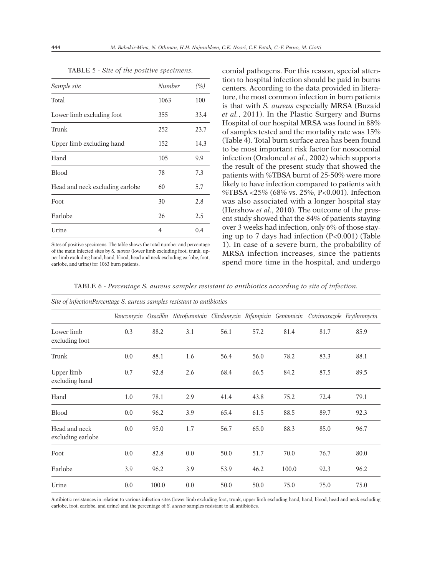| Sample site                     | Number | $(\%)$ |
|---------------------------------|--------|--------|
| Total                           | 1063   | 100    |
| Lower limb excluding foot       | 355    | 33.4   |
| Trunk                           | 252    | 23.7   |
| Upper limb excluding hand       | 152    | 14.3   |
| Hand                            | 105    | 9.9    |
| <b>Blood</b>                    | 78     | 7.3    |
| Head and neck excluding earlobe | 60     | 5.7    |
| Foot                            | 30     | 2.8    |
| Earlobe                         | 26     | 2.5    |
| Urine                           | 4      | 0.4    |

TABLE 5 - *Site of the positive specimens.*

Sites of positive specimens. The table shows the total number and percentage of the main infected sites by *S. aureas* (lower limb excluding foot, trunk, upper limb excluding hand, hand, blood, head and neck excluding earlobe, foot, earlobe, and urine) for 1063 burn patients.

*Site of infectionPercentage S. aureus samples resistant to antibiotics*

comial pathogens. For this reason, special attention to hospital infection should be paid in burns centers. According to the data provided in literature, the most common infection in burn patients is that with *S. aureus* especially MRSA (Buzaid *et al.*, 2011). In the Plastic Surgery and Burns Hospital of our hospital MRSA was found in 88% of samples tested and the mortality rate was 15% (Table 4). Total burn surface area has been found to be most important risk factor for nosocomial infection (Oraloncul *et al*., 2002) which supports the result of the present study that showed the patients with %TBSA burnt of 25-50% were more likely to have infection compared to patients with %TBSA <25% (68% vs. 25%, P<0.001). Infection was also associated with a longer hospital stay (Hershow *et al.*, 2010). The outcome of the present study showed that the 84% of patients staying over 3 weeks had infection, only 6% of those staying up to 7 days had infection (P<0.001) (Table 1). In case of a severe burn, the probability of MRSA infection increases, since the patients spend more time in the hospital, and undergo

TABLE 6 - *Percentage S. aureus samples resistant to antibiotics according to site of infection.*

|                                    | Sue of infectioni ercentage S. aureus samples resistant to antibiotics |       |                                                                                                  |      |      |       |      |      |
|------------------------------------|------------------------------------------------------------------------|-------|--------------------------------------------------------------------------------------------------|------|------|-------|------|------|
|                                    |                                                                        |       | Vancomycin Oxacillin Nitrofurantoin Clindamycin Rifampicin Gentamicin Cotrimoxazole Erythromycin |      |      |       |      |      |
| Lower limb<br>excluding foot       | 0.3                                                                    | 88.2  | 3.1                                                                                              | 56.1 | 57.2 | 81.4  | 81.7 | 85.9 |
| Trunk                              | 0.0                                                                    | 88.1  | 1.6                                                                                              | 56.4 | 56.0 | 78.2  | 83.3 | 88.1 |
| Upper limb<br>excluding hand       | 0.7                                                                    | 92.8  | 2.6                                                                                              | 68.4 | 66.5 | 84.2  | 87.5 | 89.5 |
| Hand                               | 1.0                                                                    | 78.1  | 2.9                                                                                              | 41.4 | 43.8 | 75.2  | 72.4 | 79.1 |
| <b>Blood</b>                       | 0.0                                                                    | 96.2  | 3.9                                                                                              | 65.4 | 61.5 | 88.5  | 89.7 | 92.3 |
| Head and neck<br>excluding earlobe | 0.0                                                                    | 95.0  | 1.7                                                                                              | 56.7 | 65.0 | 88.3  | 85.0 | 96.7 |
| Foot                               | 0.0                                                                    | 82.8  | 0.0                                                                                              | 50.0 | 51.7 | 70.0  | 76.7 | 80.0 |
| Earlobe                            | 3.9                                                                    | 96.2  | 3.9                                                                                              | 53.9 | 46.2 | 100.0 | 92.3 | 96.2 |
| Urine                              | 0.0                                                                    | 100.0 | 0.0                                                                                              | 50.0 | 50.0 | 75.0  | 75.0 | 75.0 |

Antibiotic resistances in relation to various infection sites (lower limb excluding foot, trunk, upper limb excluding hand, hand, blood, head and neck excluding earlobe, foot, earlobe, and urine) and the percentage of *S. aureus* samples resistant to all antibiotics.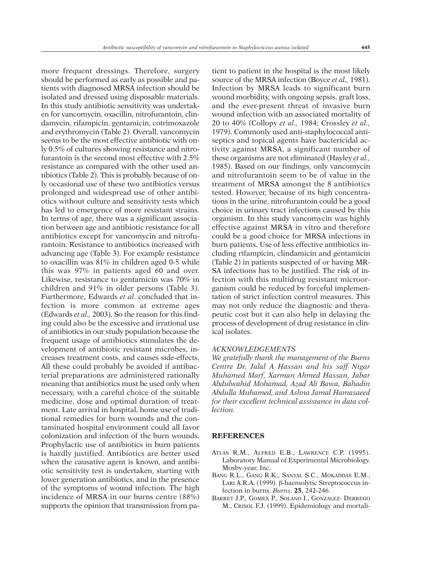more frequent dressings. Therefore, surgery should be performed as early as possible and patients with diagnosed MRSA infection should be isolated and dressed using disposable materials. In this study antibiotic sensitivity was undertaken for vancomycin, oxacillin, nitrofurantoin, clindamycin, rifampicin, gentamicin, cotrimoxazole and erythromycin (Table 2). Overall, vancomycin seems to be the most effective antibiotic with only 0.5% of cultures showing resistance and nitrofurantoin is the second most effective with 2.5% resistance as compared with the other used antibiotics (Table 2). This is probably because of only occasional use of these two antibiotics versus prolonged and widespread use of other antibiotics without culture and sensitivity tests which has led to emergence of more resistant strains. In terms of age, there was a significant association between age and antibiotic resistance for all antibiotics except for vancomycin and nitrofurantoin. Resistance to antibiotics increased with advancing age (Table 3). For example resistance to oxacillin was 81% in children aged 0-5 while this was 97% in patients aged 60 and over. Likewise, resistance to gentamicin was 70% in children and 91% in older persons (Table 3). Furthermore, Edwards *et al*. concluded that infection is more common at extreme ages (Edwards *et al.,* 2003). So the reason for this finding could also be the excessive and irrational use of antibiotics in our study population because the frequent usage of antibiotics stimulates the development of antibiotic resistant microbes, increases treatment costs, and causes side-effects. All these could probably be avoided if antibacterial preparations are administered rationally meaning that antibiotics must be used only when necessary, with a careful choice of the suitable medicine, dose and optimal duration of treatment. Late arrival in hospital, home use of traditional remedies for burn wounds and the contaminated hospital environment could all favor colonization and infection of the burn wounds. Prophylactic use of antibiotics in burn patients is hardly justified. Antibiotics are better used when the causative agent is known, and antibiotic sensitivity test is undertaken, starting with lower generation antibiotics, and in the presence of the symptoms of wound infection. The high incidence of MRSA in our burns centre (88%) supports the opinion that transmission from patient to patient in the hospital is the most likely source of the MRSA infection (Boyce *et al.,* 1981). Infection by MRSA leads to significant burn wound morbidity, with ongoing sepsis, graft loss, and the ever-present threat of invasive burn wound infection with an associated mortality of 20 to 40% (Collopy *et al.,* 1984; Crossley *et al.,* 1979). Commonly used anti-staphylococcal antiseptics and topical agents have bactericidal activity against MRSA, a significant number of these organisms are not eliminated (Hayley *et al.,* 1985). Based on our findings, only vancomycin and nitrofurantoin seem to be of value in the treatment of MRSA amongst the 8 antibiotics tested. However, because of its high concentrations in the urine, nitrofurantoin could be a good choice in urinary tract infections caused by this organism. In this study vancomycin was highly effective against MRSA in vitro and therefore could be a good choice for MRSA infections in burn patients. Use of less effective antibiotics including rifampicin, clindamicin and gentamicin (Table 2) in patients suspected of or having MR-SA infections has to be justified. The risk of infection with this multidrug resistant microorganism could be reduced by forceful implementation of strict infection control measures. This may not only reduce the diagnostic and therapeutic cost but it can also help in delaying the process of development of drug resistance in clinical isolates.

## *ACKNOWLEDGEMENTS*

*We gratefully thank the management of the Burns Centre Dr. Jalal A Hassan and his saff Nigar Muhamed Marf, Xarman Ahmed Hassan, Jabar Abdulwahid Mohamad, Azad Ali Bawa, Bahadin Abdulla Muhamed, and Ashna Jamal Hamasaeed for their excellent technical assistance in data collection.*

## **REFERENCES**

- ATLAS R.M., ALFRED E.B., LAWRENCE C.P. (1995). Laboratory Manual of Experimental Microbiology. Mosby-year, Inc.
- BANG R.L., GANG R.K., SANYAL S.C., MOKADDAS E.M., LARI A.R.A. (1999). β-haemolytic Streptococcus infection in burns. *Burns*. **25**, 242-246.
- BARRET J.P., GOMEX P., SOLANO I., GONZALEZ- DERREGO M., CRISOL F.J. (1999). Epidemiology and mortali-